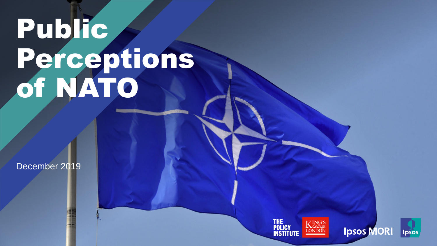# Public Perceptions of NATO

December 2019

© Ipsos | Public Perceptions of NATO | December 2019 | Version 1 | Public © Ipsos | Public Perceptions of NATO | December 2019 | Version 1 | Public



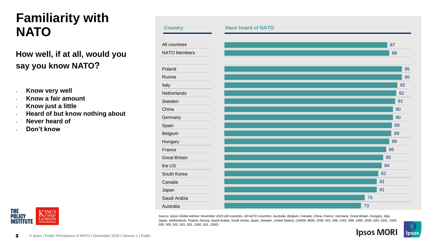# **Familiarity with NATO**

#### **How well, if at all, would you say you know NATO?**

- **Know very well**
- **Know a fair amount**
- **Know just a little**
- **Heard of but know nothing about**
- **Never heard of**
- **Don't know**





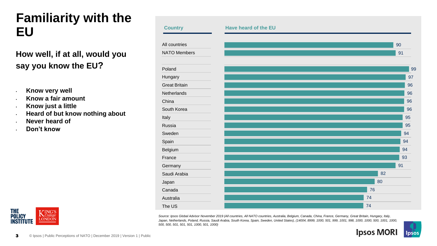# **Familiarity with the EU**

#### **How well, if at all, would you say you know the EU?**

- **Know very well**
- **Know a fair amount**
- **Know just a little**
- **Heard of but know nothing about**
- **Never heard of**
- **Don't know**



**Country Have heard of the EU**

*Source: Ipsos Global Advisor November 2019 (All countries, All NATO countries, Australia, Belgium, Canada, China, France, Germany, Great Britain, Hungary, Italy, Japan, Netherlands, Poland, Russia, Saudi Arabia, South Korea, Spain, Sweden, United States), (14004, 8999, 1000, 501, 999, 1001, 998, 1000, 1000, 500, 1001, 1000, 500, 500, 501, 501, 501, 1000, 501, 1000)* 



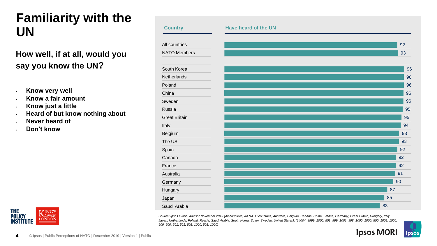# **Familiarity with the UN**

#### **How well, if at all, would you say you know the UN?**

- **Know very well**
- **Know a fair amount**
- **Know just a little**
- **Heard of but know nothing about**
- **Never heard of**
- **Don't know**



*Source: Ipsos Global Advisor November 2019 (All countries, All NATO countries, Australia, Belgium, Canada, China, France, Germany, Great Britain, Hungary, Italy, Japan, Netherlands, Poland, Russia, Saudi Arabia, South Korea, Spain, Sweden, United States), (14004, 8999, 1000, 501, 999, 1001, 998, 1000, 1000, 500, 1001, 1000, 500, 500, 501, 501, 501, 1000, 501, 1000)* 



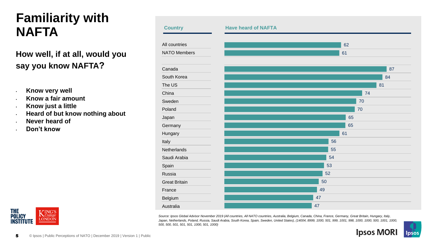# **Familiarity with NAFTA**

#### **How well, if at all, would you say you know NAFTA?**

- **Know very well**
- **Know a fair amount**
- **Know just a little**
- **Heard of but know nothing about**
- **Never heard of**
- **Don't know**





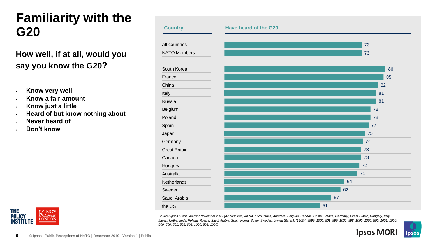### **Familiarity with the G20**

#### **How well, if at all, would you say you know the G20?**

- **Know very well**
- **Know a fair amount**
- **Know just a little**
- **Heard of but know nothing about**
- **Never heard of**
- **Don't know**

**THE** 

**POLICY** 

**INSTITUTE** 



*Source: Ipsos Global Advisor November 2019 (All countries, All NATO countries, Australia, Belgium, Canada, China, France, Germany, Great Britain, Hungary, Italy, Japan, Netherlands, Poland, Russia, Saudi Arabia, South Korea, Spain, Sweden, United States), (14004, 8999, 1000, 501, 999, 1001, 998, 1000, 1000, 500, 1001, 1000, 500, 500, 501, 501, 501, 1000, 501, 1000)* 



KING'S

**LONDON**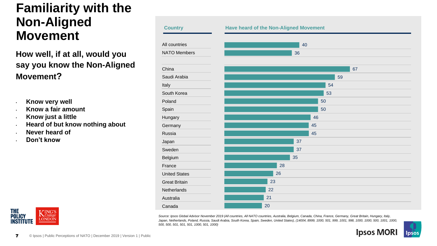#### **Familiarity with the Non-Aligned Movement**

**How well, if at all, would you say you know the Non-Aligned Movement?**

- **Know very well**
- **Know a fair amount**
- **Know just a little**
- **Heard of but know nothing about**
- **Never heard of**
- **Don't know**



| <b>Country</b>       | <b>Have heard of the Non-Aligned Movement</b> |  |  |  |
|----------------------|-----------------------------------------------|--|--|--|
| All countries        | 40                                            |  |  |  |
| <b>NATO Members</b>  | 36                                            |  |  |  |
| China                | 67                                            |  |  |  |
| Saudi Arabia         | 59                                            |  |  |  |
| Italy                | 54                                            |  |  |  |
| South Korea          | 53                                            |  |  |  |
| Poland               | 50                                            |  |  |  |
| Spain                | 50                                            |  |  |  |
| Hungary              | 46                                            |  |  |  |
| Germany              | 45                                            |  |  |  |
| Russia               | 45                                            |  |  |  |
| Japan                | 37                                            |  |  |  |
| Sweden               | 37                                            |  |  |  |
| Belgium              | 35                                            |  |  |  |
| France               | 28                                            |  |  |  |
| <b>United States</b> | 26                                            |  |  |  |
| <b>Great Britain</b> | 23                                            |  |  |  |
| Netherlands          | 22                                            |  |  |  |
| Australia            | 21                                            |  |  |  |
| Canada               | 20                                            |  |  |  |

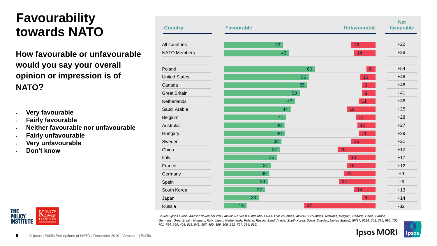# **Favourability towards NATO**

**How favourable or unfavourable would you say your overall opinion or impression is of NATO?**

- **Very favourable**
- **Fairly favourable**
- **Neither favourable nor unfavourable**
- **Fairly unfavourable**
- **Very unfavourable**
- **Don't know**



| <b>Country</b>       | <b>Favourable</b> |    | <b>Unfavourable</b> | <b>Net</b><br>favourable |
|----------------------|-------------------|----|---------------------|--------------------------|
| All countries        | 39                |    | 16                  | $+22$                    |
| <b>NATO Members</b>  | 43                |    | 14                  | $+28$                    |
| Poland               |                   | 60 | $6\phantom{1}6$     | $+54$                    |
| <b>United States</b> |                   | 56 | 10                  | $+46$                    |
| Canada               |                   | 55 | $\overline{9}$      | $+46$                    |
| <b>Great Britain</b> |                   | 50 | 9                   | $+41$                    |
| Netherlands          |                   | 47 | 11                  | $+36$                    |
| Saudi Arabia         | 44                |    | 19                  | $+25$                    |
| Belgium              | 41                |    | 13                  | $+28$                    |
| Australia            | 40                |    | 12                  | $+27$                    |
| Hungary              | 40                |    | 11                  | $+29$                    |
| Sweden               | 38                |    | 16                  | $+21$                    |
| China                | 37                |    | 25                  | $+12$                    |
| Italy                | 35                |    | 18                  | $+17$                    |
| France               | 31                |    | 19                  | $+12$                    |
| Germany              | 30                |    | 21                  | $+9$                     |
| Spain                | 29                |    | 24                  | $+6$                     |
| South Korea          | 27                |    | 14                  | $+13$                    |
| Japan                | 23                |    | 9                   | $+14$                    |
| Russia               | 15                | 47 |                     | $-32$                    |

*Source: Ipsos Global Advisor November 2019 All know at least a little about NATO (All countries, All NATO countries, Australia, Belgium, Canada, China, France, Germany, Great Britain, Hungary, Italy, Japan, Netherlands, Poland, Russia, Saudi Arabia, South Korea, Spain, Sweden, United States), (9737, 6624, 501, 385, 690, 700, 701, 754, 669, 408, 818, 542, 367, 450, 389, 305, 292, 767, 384, 615)* 

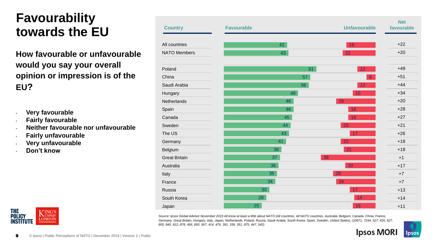# **Favourability towards the EU**

**How favourable or unfavourable would you say your overall opinion or impression is of the EU?**

- **Very favourable**
- **Fairly favourable**
- **Neither favourable nor unfavourable**
- **Fairly unfavourable**
- **Very unfavourable**
- **Don't know**



| <b>Country</b>       | <b>Favourable</b> |    | <b>Unfavourable</b> | <b>Net</b><br>favourable |
|----------------------|-------------------|----|---------------------|--------------------------|
| All countries        |                   | 42 | 19                  | $+22$                    |
| <b>NATO Members</b>  |                   | 43 | 22                  | $+20$                    |
| Poland               |                   | 61 | 12                  | $+49$                    |
| China                |                   | 57 | $\boldsymbol{6}$    | $+51$                    |
| Saudi Arabia         |                   | 56 | 12                  | $+44$                    |
| Hungary              |                   | 49 | 15                  | $+34$                    |
| Netherlands          |                   | 46 | 26                  | $+20$                    |
| Spain                |                   | 46 | 18                  | $+28$                    |
| Canada               |                   | 45 | 18                  | $+27$                    |
| Sweden               |                   | 44 | 23                  | $+21$                    |
| The US               |                   | 43 | 17                  | $+26$                    |
| Germany              |                   | 41 | 23                  | $+18$                    |
| Belgium              |                   | 38 | 21                  | $+18$                    |
| <b>Great Britain</b> |                   | 37 | 36                  | $+1$                     |
| Australia            |                   | 36 | 20                  | $+17$                    |
| Italy                |                   | 35 | 28                  | $+7$                     |
| France               | 34                |    | 26                  | $+7$                     |
| Russia               | 30                |    | 17                  | $+13$                    |
| South Korea          | 28                |    | 14                  | $+14$                    |
| Japan                | 25                |    | 15                  | $+11$                    |

*Source: Ipsos Global Advisor November 2019 All know at least a little about NATO (All countries, All NATO countries, Australia, Belgium, Canada, China, France, Germany, Great Britain, Hungary, Italy, Japan, Netherlands, Poland, Russia, Saudi Arabia, South Korea, Spain, Sweden, United States), (10671, 7244, 527, 426, 627, 805, 845, 812, 878, 456, 893, 567, 414, 476, 391, 339, 351, 875, 447, 542)* 

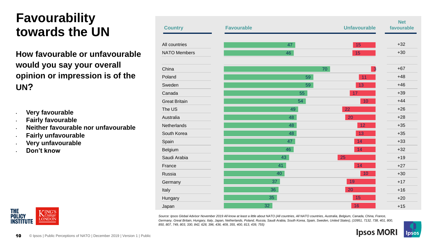# **Favourability towards the UN**

**How favourable or unfavourable would you say your overall opinion or impression is of the UN?**

- **Very favourable**
- **Fairly favourable**
- **Neither favourable nor unfavourable**
- **Fairly unfavourable**
- **Very unfavourable**
- **Don't know**



| <b>Country</b>       | <b>Favourable</b> |    | <b>Unfavourable</b>     | <b>Net</b><br>favourable |
|----------------------|-------------------|----|-------------------------|--------------------------|
| All countries        | 47                |    | 15                      | $+32$                    |
| <b>NATO Members</b>  | 46                |    | 15                      | $+30$                    |
| China                |                   | 70 | $\overline{\mathbf{3}}$ | $+67$                    |
| Poland               |                   | 59 | 11                      | $+48$                    |
| Sweden               |                   | 59 | 13                      | $+46$                    |
| Canada               |                   | 55 | 17                      | $+39$                    |
| <b>Great Britain</b> |                   | 54 | 10                      | $+44$                    |
| The US               | 49                |    | 22                      | $+26$                    |
| Australia            | 48                |    | 20                      | $+28$                    |
| Netherlands          | 48                |    | 12                      | $+35$                    |
| South Korea          | 48                |    | 13                      | $+35$                    |
| Spain                | 47                |    | 14                      | $+33$                    |
| Belgium              | 46                |    | 14                      | $+32$                    |
| Saudi Arabia         | 43                |    | 25                      | $+19$                    |
| France               | 41                |    | 14                      | $+27$                    |
| Russia               | 40                |    | 10                      | $+30$                    |
| Germany              | 37                |    | 19                      | $+17$                    |
| Italy                | 36                |    | 20                      | $+16$                    |
| Hungary              | 35                |    | 15                      | $+20$                    |
| Japan                | 32                |    | 16                      | $+15$                    |

*Source: Ipsos Global Advisor November 2019 All know at least a little about NATO (All countries, All NATO countries, Australia, Belgium, Canada, China, France, Germany, Great Britain, Hungary, Italy, Japan, Netherlands, Poland, Russia, Saudi Arabia, South Korea, Spain, Sweden, United States), (10951, 7132, 738, 401, 800, 850, 807, 749, 803, 330, 842, 628, 396, 436, 409, 355, 400, 813, 439, 755)* 

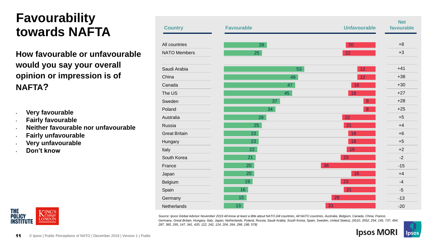# **Favourability towards NAFTA**

**How favourable or unfavourable would you say your overall opinion or impression is of NAFTA?**

- **Very favourable**
- **Fairly favourable**
- **Neither favourable nor unfavourable**
- **Fairly unfavourable**
- **Very unfavourable**
- **Don't know**



| <b>Country</b>       | <b>Favourable</b> | <b>Unfavourable</b> | <b>Net</b><br>favourable |
|----------------------|-------------------|---------------------|--------------------------|
| All countries        | 28                | 20                  | $+8$                     |
| <b>NATO Members</b>  | 25                | 22                  | $+3$                     |
| Saudi Arabia         | 53                | 12                  | $+41$                    |
| China                | 49                | 12                  | $+38$                    |
| Canada               | 47                | 16                  | $+30$                    |
| The US               | 45                | 18                  | $+27$                    |
| Sweden               | 37                | $\bf 8$             | $+28$                    |
| Poland               | 34                | $\bf 8$             | $+25$                    |
| Australia            | 28                | 22                  | $+5$                     |
| Russia               | 25                | 21                  | $+4$                     |
| <b>Great Britain</b> | 23                | 18                  | $+6$                     |
| Hungary              | 23                | 18                  | $+5$                     |
| Italy                | 22                | 19                  | $+2$                     |
| South Korea          | 21                | 23                  | $-2$                     |
| France               | 20                | 36                  | $-15$                    |
| Japan                | 20                | 16                  | $+4$                     |
| Belgium              | 19                | 23                  | $-4$                     |
| Spain                | 16                | 21                  | $-5$                     |
| Germany              | 15                | 29                  | $-13$                    |
| Netherlands          | 13 <sup>°</sup>   | 33                  | $-20$                    |

*Source: Ipsos Global Advisor November 2019 All know at least a little about NATO (All countries, All NATO countries, Australia, Belgium, Canada, China, France, Germany, Great Britain, Hungary, Italy, Japan, Netherlands, Poland, Russia, Saudi Arabia, South Korea, Spain, Sweden, United States), (5510, 3552, 254, 145, 737, 494, 287, 360, 295, 147, 341, 420, 122, 242, 124, 204, 264, 298, 198, 578)* 

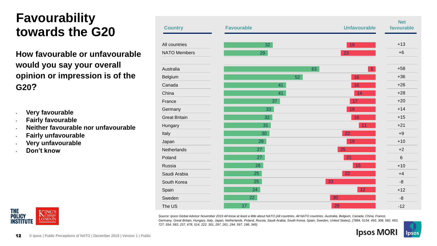# **Favourability towards the G20**

**How favourable or unfavourable would you say your overall opinion or impression is of the G20?**

- **Very favourable**
- **Fairly favourable**
- **Neither favourable nor unfavourable**
- **Fairly unfavourable**
- **Very unfavourable**
- **Don't know**



| <b>Country</b>       | <b>Favourable</b> |    | <b>Unfavourable</b> | <b>Net</b><br>favourable |
|----------------------|-------------------|----|---------------------|--------------------------|
| All countries        | 32                |    | 19                  | $+13$                    |
| <b>NATO Members</b>  | 29                |    | 23                  | $+6$                     |
| Australia            |                   | 63 | $\sqrt{5}$          | $+58$                    |
| Belgium              |                   | 52 | 16                  | $+36$                    |
| Canada               | 41                |    | 16                  | $+26$                    |
| China                | 41                |    | 14                  | $+28$                    |
| France               | 37                |    | 17                  | $+20$                    |
| Germany              | 33                |    | 19                  | $+14$                    |
| <b>Great Britain</b> | 32                |    | 16                  | $+15$                    |
| Hungary              | 31                |    | 11                  | $+21$                    |
| Italy                | 30                |    | 22                  | $+9$                     |
| Japan                | 28                |    | 19                  | $+10$                    |
| Netherlands          | 27                |    | 25                  | $+2$                     |
| Poland               | 27                |    | 21                  | $6\phantom{1}$           |
| Russia               | 26                |    | 15                  | $+10$                    |
| Saudi Arabia         | 25                |    | 22                  | $+4$                     |
| South Korea          | 25                | 33 |                     | $-8$                     |
| Spain                | 24                |    | 12                  | $+12$                    |
| Sweden               | 22                |    | 30                  | $-8$                     |
| The US               | 17                |    | 29                  | $-12$                    |

*Source: Ipsos Global Advisor November 2019 All know at least a little about NATO (All countries, All NATO countries, Australia, Belgium, Canada, China, France, Germany, Great Britain, Hungary, Italy, Japan, Netherlands, Poland, Russia, Saudi Arabia, South Korea, Spain, Sweden, United States), (7884, 5134, 493, 308, 582, 693, 727, 554, 583, 237, 678, 514, 222, 301, 297, 261, 294, 597, 198, 345)* 

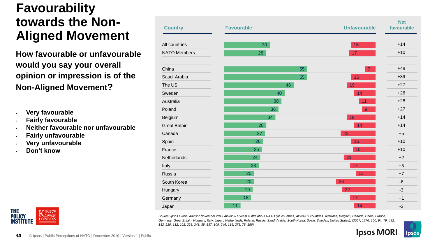### **Favourability towards the Non-Aligned Movement**

**How favourable or unfavourable would you say your overall opinion or impression is of the Non-Aligned Movement?**

- **Very favourable**
- **Fairly favourable**
- **Neither favourable nor unfavourable**
- **Fairly unfavourable**
- **Very unfavourable**
- **Don't know**



| <b>Country</b>       | <b>Favourable</b> | <b>Unfavourable</b> | <b>Net</b><br>favourable |
|----------------------|-------------------|---------------------|--------------------------|
| All countries        | 30                | 16                  | $+14$                    |
| <b>NATO Members</b>  | 28                | 17                  | $+10$                    |
| China                | 55                | $\overline{7}$      | $+48$                    |
| Saudi Arabia         | 55                | 16                  | $+39$                    |
| The US               | 46                | 19                  | $+27$                    |
| Sweden               | 40                | 14                  | $+26$                    |
| Australia            | 38                | 11                  | $+28$                    |
| Poland               | 36                | $\overline{9}$      | $+27$                    |
| Belgium              | 34                | 19                  | $+14$                    |
| <b>Great Britain</b> | 28                | 14                  | $+14$                    |
| Canada               | 27                | 23                  | $+5$                     |
| Spain                | 26                | 16                  | $+10$                    |
| France               | 25                | 15                  | $+10$                    |
| Netherlands          | 24                | 21                  | $+2$                     |
| Italy                | 23                | 17                  | $+5$                     |
| Russia               | 20                | 13                  | $+7$                     |
| South Korea          | 20                | 26                  | $-6$                     |
| Hungary              | 19                | 22                  | $-3$                     |
| Germany              | 18                | 17                  | $+1$                     |
| Japan                | 11                | 14                  | $-3$                     |

Source: Ipsos Global Advisor November 2019 All know at least a little about NATO (All countries, All NATO countries, Australia, Belgium, Canada, China, France, *Germany, Great Britain, Hungary, Italy, Japan, Netherlands, Poland, Russia, Saudi Arabia, South Korea, Spain, Sweden, United States), (3057, 1676, 100, 94, 79, 492, 132, 220, 112, 102, 328, 241, 38, 137, 109, 246, 115, 278, 78, 156)* 

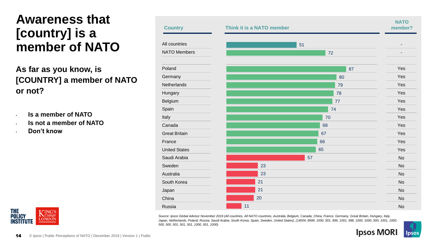### **Awareness that [country] is a member of NATO**

#### **As far as you know, is [COUNTRY] a member of NATO or not?**

- **Is a member of NATO**
- **Is not a member of NATO**
- **Don't know**





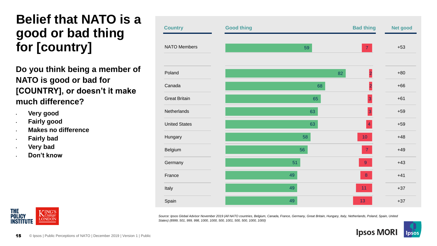### **Belief that NATO is a good or bad thing for [country]**

**Do you think being a member of NATO is good or bad for [COUNTRY], or doesn't it make much difference?**

- **Very good**
- **Fairly good**
- **Makes no difference**
- **Fairly bad**
- **Very bad**
- **Don't know**



| <b>Country</b>       | <b>Good thing</b> |    | <b>Bad thing</b>        | Net good |
|----------------------|-------------------|----|-------------------------|----------|
| <b>NATO Members</b>  |                   | 59 | $\mathbf{7}$            | $+53$    |
| Poland               |                   |    | $\overline{a}$<br>82    | $+80$    |
| Canada               |                   | 68 | $\overline{\mathbf{c}}$ | $+66$    |
| <b>Great Britain</b> |                   | 65 | $\overline{3}$          | $+61$    |
| Netherlands          |                   | 63 | 3                       | $+59$    |
| <b>United States</b> |                   | 63 | $\overline{4}$          | $+59$    |
| Hungary              |                   | 58 | $10$                    | $+48$    |
| Belgium              |                   | 56 | $\overline{7}$          | $+49$    |
| Germany              |                   | 51 | $\overline{9}$          | $+43$    |
| France               | 49                |    | $\boldsymbol{8}$        | $+41$    |
| Italy                | 49                |    | 11                      | $+37$    |
| Spain                | 49                |    | 13                      | $+37$    |

*Source: Ipsos Global Advisor November 2019 (All NATO countries, Belgium, Canada, France, Germany, Great Britain, Hungary, Italy, Netherlands, Poland, Spain, United States) (8999, 501, 999, 998, 1000, 1000, 500, 1001, 500, 500, 1000, 1000)* 

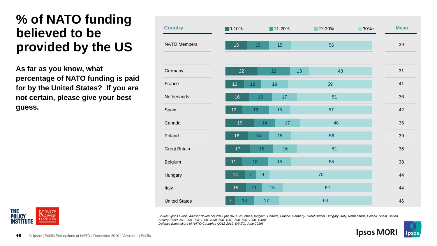#### **% of NATO funding believed to be provided by the US**

**As far as you know, what percentage of NATO funding is paid for by the United States? If you are not certain, please give your best guess.**



**THE ING'S N**College **POLICY LONDON INSTITUTE** 

*Source: Ipsos Global Advisor November 2019 (All NATO countries, Belgium, Canada, France, Germany, Great Britain, Hungary, Italy, Netherlands, Poland, Spain, United States) (8999, 501, 999, 998, 1000, 1000, 500, 1001, 500, 500, 1000, 1000) Defence Expenditure of NATO Countries (2012-2019) (NATO, June 2019)*

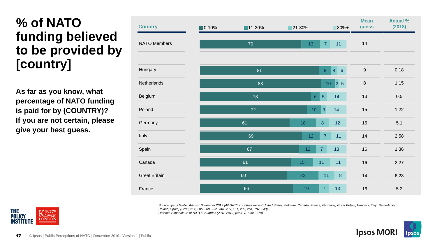# **% of NATO funding believed to be provided by [country]**

**As far as you know, what percentage of NATO funding is paid for by (COUNTRY)? If you are not certain, please give your best guess.**

| <b>Country</b>       | $\blacksquare$ 0-10% | $11-20%$ | $21 - 30%$                        | $30%+$       | <b>Mean</b><br>guess | <b>Actual %</b><br>(2018) |
|----------------------|----------------------|----------|-----------------------------------|--------------|----------------------|---------------------------|
| <b>NATO Members</b>  |                      | 70       | $\overline{7}$<br>13              | 11           | 14                   |                           |
|                      |                      |          |                                   |              |                      |                           |
| Hungary              |                      | 81       | $\,$ 8 $\,$                       | 4<br>6       | $\boldsymbol{9}$     | 0.18                      |
| Netherlands          |                      | 83       | 10 <sub>1</sub>                   | $\sqrt{2}$ 5 | $\, 8$               | 1.15                      |
| Belgium              |                      | 78       | $\overline{5}$<br>6 <sup>°</sup>  | 14           | 13                   | 0.5                       |
| Poland               |                      | 72       | 3 <br>10 <sub>1</sub>             | 14           | 15                   | 1.22                      |
| Germany              |                      | 61       | $\bf 8$<br>18                     | 12           | 15                   | 5.1                       |
| Italy                |                      | 69       | $\overline{7}$<br>12 <sub>1</sub> | 11           | 14                   | 2.58                      |
| Spain                |                      | 67       | 12 <sub>2</sub><br>$\overline{7}$ | 13           | $16\,$               | 1.36                      |
| Canada               |                      | 61       | 11<br>15                          | 11           | 16                   | 2.27                      |
| <b>Great Britain</b> |                      | 60       | 22<br>11                          | $\bf 8$      | 14                   | 6.23                      |
| France               |                      | 66       | 7 <sup>1</sup><br>19              | 13           | 16                   | 5.2                       |

Source: Ipsos Global Advisor November 2019 (All NATO countries except United States, Belgium, Canada, France, Germany, Great Britain, Hungary, Italy, Netherlands, *Poland, Spain) (2200, 214, 206, 200, 232, 240, 259, 161, 237, 264, 187, 248). Defence Expenditure of NATO Countries (2012-2019) (NATO, June 2019)*



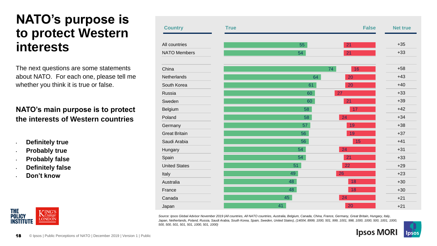#### **NATO's purpose is to protect Western interests**

The next questions are some statements about NATO. For each one, please tell me whether you think it is true or false.

#### **NATO's main purpose is to protect the interests of Western countries**

- **Definitely true**
- **Probably true**
- **Probably false**
- **Definitely false**
- **Don't know**



| <b>Country</b>       | <b>True</b> |    | <b>False</b> | <b>Net true</b> |
|----------------------|-------------|----|--------------|-----------------|
|                      |             |    |              |                 |
| All countries        |             | 55 | 21           | $+35$           |
| <b>NATO Members</b>  |             | 54 | 21           | $+33$           |
| China                |             |    | 74<br>16     | $+58$           |
|                      |             |    |              | $+43$           |
| Netherlands          |             | 64 | 20           |                 |
| South Korea          |             | 61 | 20           | $+40$           |
| Russia               |             | 60 | 27           | $+33$           |
| Sweden               |             | 60 | 21           | $+39$           |
| Belgium              |             | 58 | 17           | $+42$           |
| Poland               |             | 58 | 24           | $+34$           |
| Germany              |             | 57 | 19           | $+38$           |
| <b>Great Britain</b> |             | 56 | 19           | $+37$           |
| Saudi Arabia         |             | 56 | 15           | $+41$           |
| Hungary              |             | 54 | 24           | $+31$           |
| Spain                |             | 54 | 21           | $+33$           |
| <b>United States</b> |             | 51 | 22           | $+29$           |
| Italy                |             | 49 | 26           | $+23$           |
| Australia            |             | 48 | 18           | $+30$           |
| France               |             | 48 | 18           | $+30$           |
| Canada               |             | 45 | 24           | $+21$           |
| Japan                |             | 41 | 20           | $+21$           |

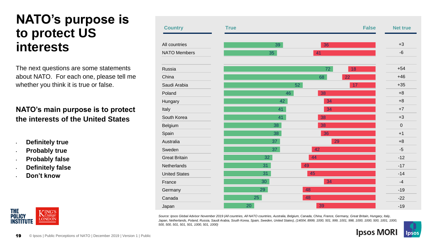#### **NATO's purpose is to protect US interests**

The next questions are some statements about NATO. For each one, please tell me whether you think it is true or false.

#### **NATO's main purpose is to protect the interests of the United States**

- **Definitely true**
- **Probably true**
- **Probably false**
- **Definitely false**
- **Don't know**



| <b>Country</b>       | <b>True</b> |    |    | <b>False</b> | <b>Net true</b> |
|----------------------|-------------|----|----|--------------|-----------------|
| All countries        |             | 39 | 36 |              | $+3$            |
|                      |             |    |    |              |                 |
| <b>NATO Members</b>  |             | 35 | 41 |              | $-6$            |
| Russia               |             |    | 72 | 18           | $+54$           |
| China                |             |    | 68 | 22           | $+46$           |
| Saudi Arabia         |             |    | 52 | 17           | $+35$           |
| Poland               |             | 46 | 38 |              | $+8$            |
| Hungary              |             | 42 | 34 |              | $+8$            |
| Italy                |             | 41 | 34 |              | $+7$            |
| South Korea          |             | 41 | 38 |              | $+3$            |
| Belgium              |             | 38 | 38 |              | $\pmb{0}$       |
| Spain                |             | 38 | 36 |              | $+1$            |
| Australia            |             | 37 |    | 29           | $+8$            |
| Sweden               |             | 37 | 42 |              | $-5$            |
| <b>Great Britain</b> |             | 32 | 44 |              | $-12$           |
| Netherlands          |             | 31 | 49 |              | $-17$           |
| <b>United States</b> |             | 31 | 45 |              | $-14$           |
| France               |             | 30 | 34 |              | $-4$            |
| Germany              |             | 29 | 48 |              | $-19$           |
| Canada               |             | 25 | 48 |              | $-22$           |
| Japan                | 20          |    | 39 |              | $-19$           |

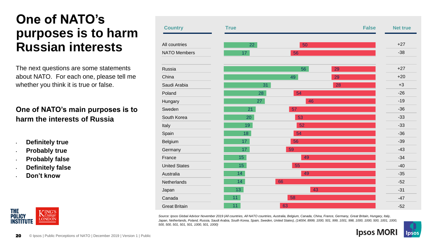### **One of NATO's purposes is to harm Russian interests**

The next questions are some statements about NATO. For each one, please tell me whether you think it is true or false.

#### **One of NATO's main purposes is to harm the interests of Russia**

- **Definitely true**
- **Probably true**
- **Probably false**
- **Definitely false**
- **Don't know**



| <b>Country</b>       | <b>True</b>     |    | <b>False</b> | <b>Net true</b> |
|----------------------|-----------------|----|--------------|-----------------|
| All countries        | 22              | 50 |              | $+27$           |
| <b>NATO Members</b>  | 17              | 56 |              | $-38$           |
| Russia               |                 | 56 | 29           | $+27$           |
| China                |                 | 49 | 29           | $+20$           |
| Saudi Arabia         | 31              |    | 28           | $+3$            |
| Poland               | 28              | 54 |              | $-26$           |
| Hungary              | 27              | 46 |              | $-19$           |
| Sweden               | 21              | 57 |              | $-36$           |
| South Korea          | 20              | 53 |              | $-33$           |
| Italy                | 19              | 52 |              | $-33$           |
| Spain                | 18              | 54 |              | $-36$           |
| Belgium              | 17 <sub>1</sub> | 56 |              | $-39$           |
| Germany              | 17              | 59 |              | $-43$           |
| France               | 15 <sub>1</sub> | 49 |              | $-34$           |
| <b>United States</b> | 15 <sub>1</sub> | 55 |              | $-40$           |
| Australia            | 14              | 49 |              | $-35$           |
| Netherlands          | 14              | 66 |              | $-52$           |
| Japan                | 13 <sup>°</sup> | 43 |              | $-31$           |
| Canada               | 11 <sub>1</sub> | 58 |              | $-47$           |
| <b>Great Britain</b> | 11              | 63 |              | $-52$           |

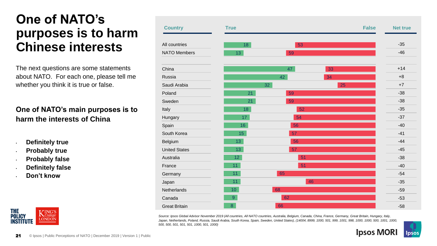### **One of NATO's purposes is to harm Chinese interests**

The next questions are some statements about NATO. For each one, please tell me whether you think it is true or false.

#### **One of NATO's main purposes is to harm the interests of China**

- **Definitely true**
- **Probably true**
- **Probably false**
- **Definitely false**
- **Don't know**



| <b>Country</b>       | <b>True</b>     |    | <b>False</b> | <b>Net true</b> |
|----------------------|-----------------|----|--------------|-----------------|
| All countries        | 18              | 53 |              | $-35$           |
| <b>NATO Members</b>  | 13              | 59 |              | $-46$           |
| China                |                 | 47 | 33           | $+14$           |
| Russia               |                 | 42 | 34           | $+8$            |
| Saudi Arabia         | 32              |    | 25           | $+7$            |
| Poland               | 21              | 59 |              | $-38$           |
| Sweden               | 21              | 59 |              | $-38$           |
| Italy                | 18              | 52 |              | $-35$           |
| Hungary              | 17 <sub>2</sub> | 54 |              | $-37$           |
| Spain                | 16              | 56 |              | $-40$           |
| South Korea          | 15 <sub>1</sub> | 57 |              | $-41$           |
| Belgium              | 13 <sup>°</sup> | 56 |              | $-44$           |
| <b>United States</b> | 13              | 57 |              | $-45$           |
| Australia            | 12 <sub>2</sub> | 51 |              | $-38$           |
| France               | 11 <sub>1</sub> | 51 |              | $-40$           |
| Germany              | 11              | 65 |              | $-54$           |
| Japan                | 11              |    | 46           | $-35$           |
| Netherlands          | 10 <sup>°</sup> | 68 |              | $-59$           |
| Canada               | 9               | 62 |              | $-53$           |
| <b>Great Britain</b> | 8               | 66 |              | $-58$           |

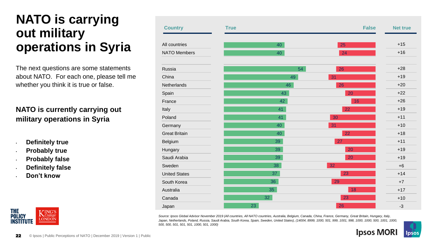### **NATO is carrying out military operations in Syria**

The next questions are some statements about NATO. For each one, please tell me whether you think it is true or false.

#### **NATO is currently carrying out military operations in Syria**

- **Definitely true**
- **Probably true**
- **Probably false**
- **Definitely false**
- **Don't know**



| <b>Country</b>       | <b>True</b> |    | <b>False</b> | <b>Net true</b> |
|----------------------|-------------|----|--------------|-----------------|
| All countries        |             | 40 | 25           | $+15$           |
| <b>NATO Members</b>  |             | 40 | 24           | $+16$           |
| Russia               |             | 54 | 26           | $+28$           |
| China                |             | 49 | 31           | $+19$           |
| Netherlands          |             | 46 | 26           | $+20$           |
| Spain                |             | 43 | 20           | $+22$           |
| France               |             | 42 | 16           | $+26$           |
| Italy                |             | 41 | 22           | $+19$           |
| Poland               |             | 41 | 30           | $+11$           |
| Germany              |             | 40 | 31           | $+10$           |
| <b>Great Britain</b> |             | 40 | 22           | $+18$           |
| Belgium              |             | 39 | 27           | $+11$           |
| Hungary              |             | 39 | 20           | $+19$           |
| Saudi Arabia         |             | 39 | 20           | $+19$           |
| Sweden               |             | 38 | 32           | $+6$            |
| <b>United States</b> |             | 37 | 23           | $+14$           |
| South Korea          |             | 36 | 29           | $+7$            |
| Australia            |             | 35 | 18           | $+17$           |
| Canada               |             | 32 | 23           | $+10$           |
| Japan                | 23          |    | 26           | $-3$            |

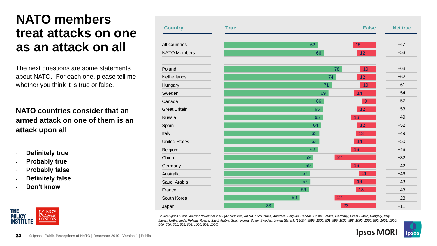#### **NATO members treat attacks on one as an attack on all**

The next questions are some statements about NATO. For each one, please tell me whether you think it is true or false.

**NATO countries consider that an armed attack on one of them is an attack upon all**

- **Definitely true**
- **Probably true**
- **Probably false**
- **Definitely false**
- **Don't know**



| <b>Country</b>       | <b>True</b> |    | <b>False</b>     | <b>Net true</b> |
|----------------------|-------------|----|------------------|-----------------|
| All countries        |             | 62 | 15               | $+47$           |
| <b>NATO Members</b>  |             | 66 | 12               | $+53$           |
| Poland               |             |    | 78<br>10         | $+68$           |
| Netherlands          |             |    | 74<br>12         | $+62$           |
| Hungary              |             | 71 | 10               | $+61$           |
| Sweden               |             | 69 | 14               | $+54$           |
| Canada               |             | 66 | $\boldsymbol{9}$ | $+57$           |
| <b>Great Britain</b> |             | 65 | 12               | $+53$           |
| Russia               |             | 65 | 16               | $+49$           |
| Spain                |             | 64 | 12               | $+52$           |
| Italy                |             | 63 | 13               | $+49$           |
| <b>United States</b> |             | 63 | 14               | $+50$           |
| Belgium              |             | 62 | 16               | $+46$           |
| China                |             | 59 | 27               | $+32$           |
| Germany              |             | 59 | 16               | $+42$           |
| Australia            |             | 57 | 11               | $+46$           |
| Saudi Arabia         |             | 57 | 14               | $+43$           |
| France               |             | 56 | 13               | $+43$           |
| South Korea          |             | 50 | 27               | $+23$           |
| Japan                |             | 33 | 23               | $+11$           |

*Source: Ipsos Global Advisor November 2019 (All countries, All NATO countries, Australia, Belgium, Canada, China, France, Germany, Great Britain, Hungary, Italy, Japan, Netherlands, Poland, Russia, Saudi Arabia, South Korea, Spain, Sweden, United States), (14004, 8999, 1000, 501, 999, 1001, 998, 1000, 1000, 500, 1001, 1000, 500, 500, 501, 501, 501, 1000, 501, 1000)* 

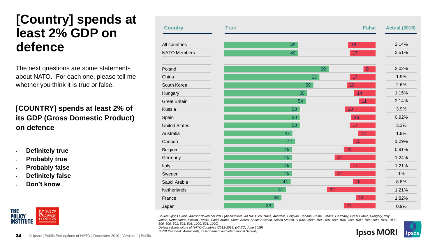#### **[Country] spends at least 2% GDP on defence**

The next questions are some statements about NATO. For each one, please tell me whether you think it is true or false.

#### **[COUNTRY] spends at least 2% of its GDP (Gross Domestic Product) on defence**

- **Definitely true**
- **Probably true**
- **Probably false**
- **Definitely false**
- **Don't know**



| <b>Country</b>       | <b>True</b> |    | <b>False</b>           | <b>Actual (2018)</b> |
|----------------------|-------------|----|------------------------|----------------------|
| All countries        |             | 49 | 18                     | 2.14%                |
| <b>NATO Members</b>  |             | 49 | 17                     | 2.51%                |
| Poland               |             |    | 69<br>$\boldsymbol{8}$ | 2.02%                |
| China                |             | 63 | 17                     | 1.9%                 |
| South Korea          |             | 59 | 19                     | 2.6%                 |
| Hungary              |             | 55 | 14                     | 1.15%                |
| <b>Great Britain</b> |             | 54 | 11                     | 2.14%                |
| Russia               |             | 50 | 20                     | 3.9%                 |
| Spain                |             | 50 | 16                     | 0.92%                |
| <b>United States</b> |             | 50 | 17                     | 3.3%                 |
| Australia            |             | 47 | 12                     | 1.9%                 |
| Canada               |             | 47 | 15                     | 1.29%                |
| Belgium              |             | 45 | 21                     | 0.91%                |
| Germany              |             | 45 | 27                     | 1.24%                |
| Italy                |             | 45 | 17                     | 1.21%                |
| Sweden               |             | 45 | 27                     | 1%                   |
| Saudi Arabia         |             | 44 | 15                     | 8.8%                 |
| Netherlands          |             | 41 | 32                     | 1.21%                |
| France               |             | 38 | 13                     | 1.82%                |
| Japan                | 33          |    | 21                     | 0.9%                 |

*Source: Ipsos Global Advisor November 2019 (All countries, All NATO countries, Australia, Belgium, Canada, China, France, Germany, Great Britain, Hungary, Italy, Japan, Netherlands, Poland, Russia, Saudi Arabia, South Korea, Spain, Sweden, United States), (14004, 8999, 1000, 501, 999, 1001, 998, 1000, 1000, 500, 1001, 1000, 500, 500, 501, 501, 501, 1000, 501, 1000)*

*Defence Expenditure of NATO Countries (2012-2019) (NATO, June 2019) SIPRI Yearbook: Armaments, Disarmament and International Security*

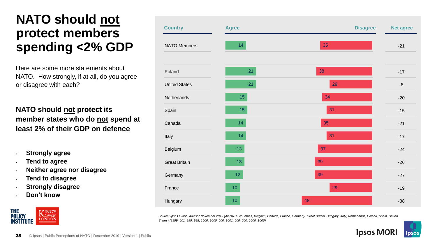#### **NATO should not protect members spending <2% GDP**

Here are some more statements about NATO. How strongly, if at all, do you agree or disagree with each?

#### **NATO should not protect its member states who do not spend at least 2% of their GDP on defence**

- **Strongly agree**
- **Tend to agree**
- **Neither agree nor disagree**
- **Tend to disagree**
- **Strongly disagree**
- **Don't know**



| <b>Country</b>       | <b>Agree</b>    | <b>Disagree</b> | <b>Net agree</b> |
|----------------------|-----------------|-----------------|------------------|
| NATO Members         | 14              | 35              | $-21$            |
| Poland               | 21              | 38              | $-17$            |
| <b>United States</b> | 21              | 29              | $-8$             |
| Netherlands          | $15\,$          | 34              | $-20$            |
| Spain                | 15              | 31              | $-15$            |
| Canada               | 14              | 35              | $-21$            |
| Italy                | 14              | 31              | $-17$            |
| Belgium              | 13              | 37              | $-24$            |
| <b>Great Britain</b> | 13              | 39              | $-26$            |
| Germany              | 12              | 39              | $-27$            |
| France               | 10 <sub>1</sub> | 29              | $-19$            |
| Hungary              | 10 <sub>1</sub> | 48              | $-38$            |

*Source: Ipsos Global Advisor November 2019 (All NATO countries, Belgium, Canada, France, Germany, Great Britain, Hungary, Italy, Netherlands, Poland, Spain, United States) (8999, 501, 999, 998, 1000, 1000, 500, 1001, 500, 500, 1000, 1000)* 

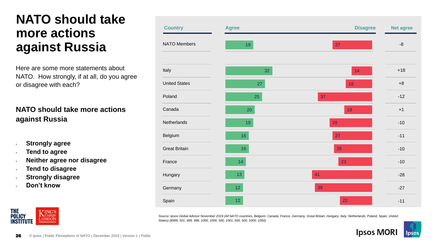#### **NATO should take more actions against Russia**

Here are some more statements about NATO. How strongly, if at all, do you agree or disagree with each?

#### **NATO should take more actions against Russia**

- **Strongly agree**
- **Tend to agree**
- **Neither agree nor disagree**
- **Tend to disagree**
- **Strongly disagree**
- **Don't know**

| <b>Country</b>       | <b>Agree</b>    | <b>Disagree</b> | <b>Net agree</b> |
|----------------------|-----------------|-----------------|------------------|
| <b>NATO Members</b>  | 19              | 27              | $-8$             |
| Italy                | 32              | 14              | $+18$            |
| <b>United States</b> | $27\,$          | 18              | $+8$             |
| Poland               | 25              | 37              | $-12$            |
| Canada               | 20              | 19              | $+1$             |
| Netherlands          | 19              | 29              | $-10$            |
| Belgium              | 16              | 27              | $-11$            |
| <b>Great Britain</b> | 16              | 26              | $-10$            |
| France               | 14              | 23              | $-10$            |
| Hungary              | 13              | 41              | $-28$            |
| Germany              | 12 <sub>1</sub> | 39              | $-27$            |
| Spain                | 12 <sub>2</sub> | 22              | $-11$            |

*Source: Ipsos Global Advisor November 2019 (All NATO countries, Belgium, Canada, France, Germany, Great Britain, Hungary, Italy, Netherlands, Poland, Spain, United States) (8999, 501, 999, 998, 1000, 1000, 500, 1001, 500, 500, 1000, 1000)* 



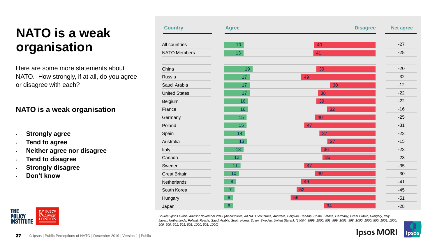# **NATO is a weak organisation**

Here are some more statements about NATO. How strongly, if at all, do you agree or disagree with each?

#### **NATO is a weak organisation**

- **Strongly agree**
- **Tend to agree**
- **Neither agree nor disagree**
- **Tend to disagree**
- **Strongly disagree**
- **Don't know**



| <b>Country</b>       | <b>Agree</b>    | <b>Disagree</b> | <b>Net agree</b> |
|----------------------|-----------------|-----------------|------------------|
| All countries        | 13              | 40              | $-27$            |
| <b>NATO Members</b>  | 13              | 41              | $-28$            |
| China                | 19              | 39              | $-20$            |
| Russia               | 17 <sub>1</sub> | 49              | $-32$            |
| Saudi Arabia         | 17              | 30              | $-12$            |
| <b>United States</b> | 17              | 38              | $-22$            |
| Belgium              | 16              | 39              | $-22$            |
| France               | 16              | 32              | $-16$            |
| Germany              | 15              | 40              | $-25$            |
| Poland               | 15              | 47              | $-31$            |
| Spain                | 14 <sup>°</sup> | 37              | $-23$            |
| Australia            | 13              | 27              | $-15$            |
| Italy                | 13              | 36              | $-23$            |
| Canada               | 12 <sub>1</sub> | 35              | $-23$            |
| Sweden               | 11 <sub>1</sub> | 47              | $-35$            |
| <b>Great Britain</b> | 10 <sub>1</sub> | 40              | $-30$            |
| Netherlands          | $\overline{8}$  | 49              | $-41$            |
| South Korea          | $\overline{7}$  | 52              | $-45$            |
| Hungary              | $6\phantom{a}$  | 56              | $-51$            |
| Japan                | $\sqrt{6}$      | 34              | $-28$            |

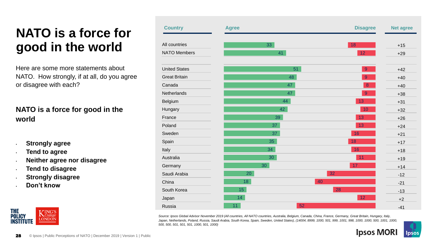# **NATO is a force for good in the world**

Here are some more statements about NATO. How strongly, if at all, do you agree or disagree with each?

#### **NATO is a force for good in the world**

- **Strongly agree**
- **Tend to agree**
- **Neither agree nor disagree**
- **Tend to disagree**
- **Strongly disagree**
- **Don't know**



| <b>Country</b>       | <b>Agree</b>    | <b>Disagree</b> | <b>Net agree</b> |
|----------------------|-----------------|-----------------|------------------|
| All countries        | 33              | 18              | $+15$            |
| <b>NATO Members</b>  | 41              | 12              | $+29$            |
| <b>United States</b> | 51              | $\overline{9}$  | $+42$            |
| <b>Great Britain</b> | 48              | $\overline{9}$  | $+40$            |
| Canada               | 47              | $\bf{8}$        | $+40$            |
| Netherlands          | 47              | $\overline{9}$  | $+38$            |
| Belgium              | 44              | 13              | $+31$            |
| Hungary              | 42              | 10              | $+32$            |
| France               | 39              | 13              | $+26$            |
| Poland               | 37              | 13              | $+24$            |
| Sweden               | 37              | 16              | $+21$            |
| Spain                | 35              | 18              | $+17$            |
| Italy                | 34              | 16              | $+18$            |
| Australia            | 30              | 11              | $+19$            |
| Germany              | 30              | 17              | $+14$            |
| Saudi Arabia         | 20              | 32              | $-12$            |
| China                | 18              | 40              | $-21$            |
| South Korea          | 15              | 28              | $-13$            |
| Japan                | 14              | 12              | $+2$             |
| Russia               | 11 <sub>1</sub> | 52              | $-41$            |

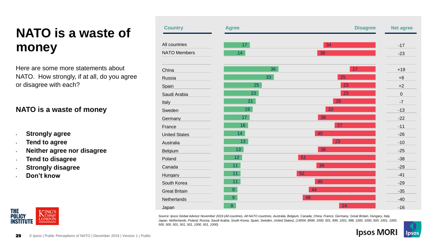# **NATO is a waste of money**

Here are some more statements about NATO. How strongly, if at all, do you agree or disagree with each?

#### **NATO is a waste of money**

- **Strongly agree**
- **Tend to agree**
- **Neither agree nor disagree**
- **Tend to disagree**
- **Strongly disagree**
- **Don't know**



| <b>Country</b>       | <b>Agree</b>    | <b>Disagree</b> | <b>Net agree</b> |
|----------------------|-----------------|-----------------|------------------|
| All countries        | 17 <sup>°</sup> | 34              | $-17$            |
| <b>NATO Members</b>  | 14              | 38              | $-23$            |
| China                | 36              | 17              | $+19$            |
| Russia               | 33              | 25              | $+8$             |
| Spain                | 25              | 23              | $+2$             |
| Saudi Arabia         | 23              | 23              | $\boldsymbol{0}$ |
| Italy                | 21              | 28              | $-7$             |
| Sweden               | 19              | 33              | $-13$            |
| Germany              | 17              | 38              | $-22$            |
| France               | 16              | 27              | $-11$            |
| <b>United States</b> | 14 <sub>1</sub> | 40              | $-26$            |
| Australia            | 13              | 23              | $-10$            |
| Belgium              | 13 <sup>°</sup> | 38              | $-25$            |
| Poland               | 12 <sub>1</sub> | 51              | $-38$            |
| Canada               | 11              | 39              | $-29$            |
| Hungary              | 11              | 52              | $-41$            |
| South Korea          | 11              | 40              | $-29$            |
| <b>Great Britain</b> | $\overline{9}$  | 44              | $-35$            |
| Netherlands          | $\mathsf{9}$    | 48              | $-40$            |
| Japan                | 8               | 24              | $-16$            |